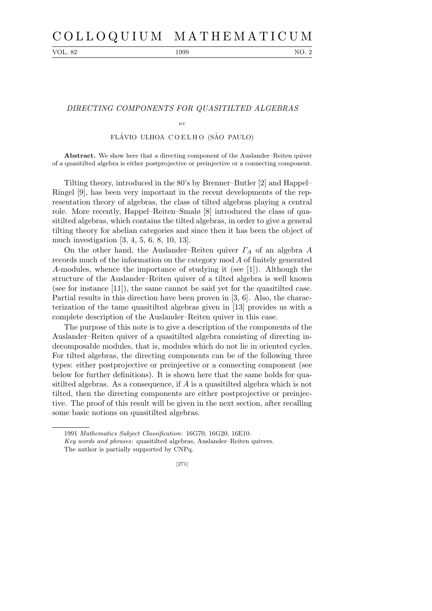# C O L L O Q U I U M M A T H E M A T I C U M

VOL. 82 1999 NO. 2

### DIRECTING COMPONENTS FOR QUASITILTED ALGEBRAS

BY

## FLÁVIO ULHOA COELHO (SÃO PAULO)

**Abstract.** We show here that a directing component of the Auslander–Reiten quiver of a quasitilted algebra is either postprojective or preinjective or a connecting component.

Tilting theory, introduced in the 80's by Brenner–Butler [2] and Happel– Ringel [9], has been very important in the recent developments of the representation theory of algebras, the class of tilted algebras playing a central role. More recently, Happel–Reiten–Smalø [8] introduced the class of quasitilted algebras, which contains the tilted algebras, in order to give a general tilting theory for abelian categories and since then it has been the object of much investigation [3, 4, 5, 6, 8, 10, 13].

On the other hand, the Auslander–Reiten quiver  $\Gamma_A$  of an algebra A records much of the information on the category mod A of finitely generated A-modules, whence the importance of studying it (see [1]). Although the structure of the Auslander–Reiten quiver of a tilted algebra is well known (see for instance [11]), the same cannot be said yet for the quasitilted case. Partial results in this direction have been proven in [3, 6]. Also, the characterization of the tame quasitilted algebras given in [13] provides us with a complete description of the Auslander–Reiten quiver in this case.

The purpose of this note is to give a description of the components of the Auslander–Reiten quiver of a quasitilted algebra consisting of directing indecomposable modules, that is, modules which do not lie in oriented cycles. For tilted algebras, the directing components can be of the following three types: either postprojective or preinjective or a connecting component (see below for further definitions). It is shown here that the same holds for quasitilted algebras. As a consequence, if A is a quasitilted algebra which is not tilted, then the directing components are either postprojective or preinjective. The proof of this result will be given in the next section, after recalling some basic notions on quasitilted algebras.

<sup>1991</sup> *Mathematics Subject Classification*: 16G70, 16G20, 16E10.

*Key words and phrases*: quasitilted algebras, Auslander–Reiten quivers. The author is partially supported by CNPq.

<sup>[271]</sup>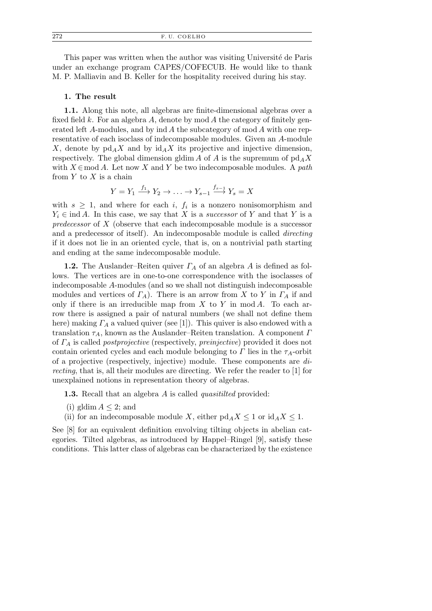This paper was written when the author was visiting Université de Paris under an exchange program CAPES/COFECUB. He would like to thank M. P. Malliavin and B. Keller for the hospitality received during his stay.

#### 1. The result

1.1. Along this note, all algebras are finite-dimensional algebras over a fixed field k. For an algebra A, denote by mod A the category of finitely generated left A-modules, and by ind A the subcategory of mod A with one representative of each isoclass of indecomposable modules. Given an A-module X, denote by  $\mathrm{pd}_AX$  and by  $\mathrm{id}_AX$  its projective and injective dimension, respectively. The global dimension gldim A of A is the supremum of  $\text{pd}_A X$ with  $X \in \text{mod } A$ . Let now X and Y be two indecomposable modules. A path from  $Y$  to  $X$  is a chain

$$
Y = Y_1 \xrightarrow{f_1} Y_2 \to \dots \to Y_{s-1} \xrightarrow{f_{s-1}} Y_s = X
$$

with  $s \geq 1$ , and where for each i,  $f_i$  is a nonzero nonisomorphism and  $Y_i \in \text{ind } A$ . In this case, we say that X is a *successor* of Y and that Y is a predecessor of X (observe that each indecomposable module is a successor and a predecessor of itself). An indecomposable module is called directing if it does not lie in an oriented cycle, that is, on a nontrivial path starting and ending at the same indecomposable module.

**1.2.** The Auslander–Reiten quiver  $\Gamma_A$  of an algebra A is defined as follows. The vertices are in one-to-one correspondence with the isoclasses of indecomposable A-modules (and so we shall not distinguish indecomposable modules and vertices of  $\Gamma_A$ ). There is an arrow from X to Y in  $\Gamma_A$  if and only if there is an irreducible map from  $X$  to  $Y$  in mod  $A$ . To each arrow there is assigned a pair of natural numbers (we shall not define them here) making  $\Gamma_A$  a valued quiver (see [1]). This quiver is also endowed with a translation  $\tau_A$ , known as the Auslander–Reiten translation. A component  $\Gamma$ of  $\Gamma_A$  is called *postprojective* (respectively, *preinjective*) provided it does not contain oriented cycles and each module belonging to  $\Gamma$  lies in the  $\tau_A$ -orbit of a projective (respectively, injective) module. These components are directing, that is, all their modules are directing. We refer the reader to [1] for unexplained notions in representation theory of algebras.

1.3. Recall that an algebra A is called *quasitilied* provided:

- (i) gldim  $A \leq 2$ ; and
- (ii) for an indecomposable module X, either  $\text{pd}_A X \leq 1$  or  $\text{id}_A X \leq 1$ .

See [8] for an equivalent definition envolving tilting objects in abelian categories. Tilted algebras, as introduced by Happel–Ringel [9], satisfy these conditions. This latter class of algebras can be characterized by the existence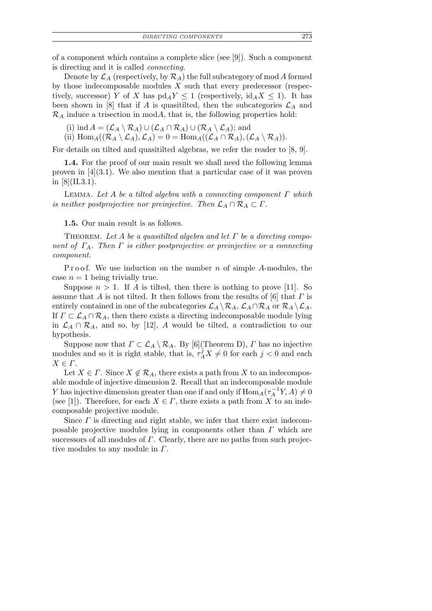of a component which contains a complete slice (see [9]). Such a component is directing and it is called connecting.

Denote by  $\mathcal{L}_A$  (respectively, by  $\mathcal{R}_A$ ) the full subcategory of mod A formed by those indecomposable modules  $X$  such that every predecessor (respectively, successor) Y of X has  $\text{pd}_A Y \leq 1$  (respectively,  $\text{id}_A X \leq 1$ ). It has been shown in [8] that if A is quasitilted, then the subcategories  $\mathcal{L}_A$  and  $\mathcal{R}_A$  induce a trisection in modA, that is, the following properties hold:

(i) ind  $A = (\mathcal{L}_A \setminus \mathcal{R}_A) \cup (\mathcal{L}_A \cap \mathcal{R}_A) \cup (\mathcal{R}_A \setminus \mathcal{L}_A)$ ; and

(ii)  $\text{Hom}_A((\mathcal{R}_A \setminus \mathcal{L}_A), \mathcal{L}_A) = 0 = \text{Hom}_A((\mathcal{L}_A \cap \mathcal{R}_A), (\mathcal{L}_A \setminus \mathcal{R}_A)).$ 

For details on tilted and quasitilted algebras, we refer the reader to [8, 9].

1.4. For the proof of our main result we shall need the following lemma proven in  $[4](3.1)$ . We also mention that a particular case of it was proven in  $[8]$ (II.3.1).

LEMMA. Let A be a tilted algebra with a connecting component  $\Gamma$  which is neither postprojective nor preinjective. Then  $\mathcal{L}_A \cap \mathcal{R}_A \subset \Gamma$ .

1.5. Our main result is as follows.

THEOREM. Let A be a quasitilted algebra and let  $\Gamma$  be a directing component of  $\Gamma_A$ . Then  $\Gamma$  is either postprojective or preinjective or a connecting component.

P r o o f. We use induction on the number n of simple A-modules, the case  $n = 1$  being trivially true.

Suppose  $n > 1$ . If A is tilted, then there is nothing to prove [11]. So assume that A is not tilted. It then follows from the results of  $[6]$  that  $\Gamma$  is entirely contained in one of the subcategories  $\mathcal{L}_A \setminus \mathcal{R}_A$ ,  $\mathcal{L}_A \cap \mathcal{R}_A$  or  $\mathcal{R}_A \setminus \mathcal{L}_A$ . If  $\Gamma \subset \mathcal{L}_A \cap \mathcal{R}_A$ , then there exists a directing indecomposable module lying in  $\mathcal{L}_A \cap \mathcal{R}_A$ , and so, by [12], A would be tilted, a contradiction to our hypothesis.

Suppose now that  $\Gamma \subset \mathcal{L}_A \setminus \mathcal{R}_A$ . By [6](Theorem D),  $\Gamma$  has no injective modules and so it is right stable, that is,  $\tau_A^j X \neq 0$  for each  $j < 0$  and each  $X \in \Gamma$ .

Let  $X \in \Gamma$ . Since  $X \notin \mathcal{R}_A$ , there exists a path from X to an indecomposable module of injective dimension 2. Recall that an indecomposable module Y has injective dimension greater than one if and only if  $\text{Hom}_A(\tau_A^{-1}Y, A) \neq 0$ (see [1]). Therefore, for each  $X \in \Gamma$ , there exists a path from X to an indecomposable projective module.

Since  $\Gamma$  is directing and right stable, we infer that there exist indecomposable projective modules lying in components other than  $\Gamma$  which are successors of all modules of  $\Gamma$ . Clearly, there are no paths from such projective modules to any module in  $\Gamma$ .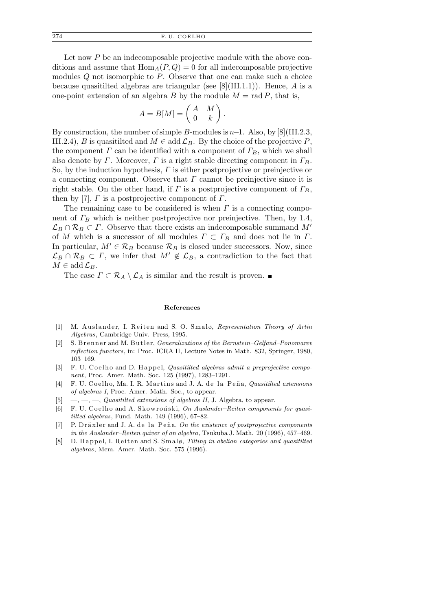Let now P be an indecomposable projective module with the above conditions and assume that  $\text{Hom}_{A}(P,Q) = 0$  for all indecomposable projective modules  $Q$  not isomorphic to  $P$ . Observe that one can make such a choice because quasitilted algebras are triangular (see  $[8]$ (III.1.1)). Hence, A is a one-point extension of an algebra B by the module  $M = \text{rad } P$ , that is,

$$
A = B[M] = \begin{pmatrix} A & M \\ 0 & k \end{pmatrix}.
$$

By construction, the number of simple B-modules is  $n-1$ . Also, by [8](III.2.3, III.2.4), B is quasitilted and  $M \in \text{add }\mathcal{L}_B$ . By the choice of the projective P, the component  $\Gamma$  can be identified with a component of  $\Gamma_B$ , which we shall also denote by Γ. Moreover, Γ is a right stable directing component in  $\Gamma_B$ . So, by the induction hypothesis,  $\Gamma$  is either postprojective or preinjective or a connecting component. Observe that  $\Gamma$  cannot be preinjective since it is right stable. On the other hand, if  $\Gamma$  is a postprojective component of  $\Gamma_B$ , then by [7],  $\Gamma$  is a postprojective component of  $\Gamma$ .

The remaining case to be considered is when  $\Gamma$  is a connecting component of  $\Gamma_B$  which is neither postprojective nor preinjective. Then, by 1.4,  $\mathcal{L}_B \cap \mathcal{R}_B \subset \Gamma$ . Observe that there exists an indecomposable summand M' of M which is a successor of all modules  $\Gamma \subset \Gamma_B$  and does not lie in  $\Gamma$ . In particular,  $M' \in \mathcal{R}_B$  because  $\mathcal{R}_B$  is closed under successors. Now, since  $\mathcal{L}_B \cap \mathcal{R}_B \subset \Gamma$ , we infer that  $M' \notin \mathcal{L}_B$ , a contradiction to the fact that  $M \in \operatorname{add} \mathcal{L}_B$ .

The case  $\Gamma \subset \mathcal{R}_A \setminus \mathcal{L}_A$  is similar and the result is proven.

## **References**

- [1] M. Auslander, I. Reiten and S. O. Smalø, *Representation Theory of Artin Algebras*, Cambridge Univ. Press, 1995.
- [2] S. Brenner and M. Butler, *Generalizations of the Bernstein–Gelfand–Ponomarev reflection functors*, in: Proc. ICRA II, Lecture Notes in Math. 832, Springer, 1980, 103–169.
- [3] F. U. Coelho and D. Happel, *Quasitilted algebras admit a preprojective component*, Proc. Amer. Math. Soc. 125 (1997), 1283–1291.
- [4] F. U. Coelho, Ma. I. R. Martins and J. A. de la Peña, *Quasitilted extensions of algebras I*, Proc. Amer. Math. Soc., to appear.
- [5] —, —, —, *Quasitilted extensions of algebras II*, J. Algebra, to appear.
- [6] F. U. Coelho and A. Skowroński, On Auslander-Reiten components for quasi*tilted algebras*, Fund. Math. 149 (1996), 67–82.
- [7] P. Dräxler and J. A. de la Peña, *On the existence of postprojective components in the Auslander–Reiten quiver of an algebra*, Tsukuba J. Math. 20 (1996), 457–469.
- [8] D. Happel, I. Reiten and S. Smalø, *Tilting in abelian categories and quasitilted algebras*, Mem. Amer. Math. Soc. 575 (1996).